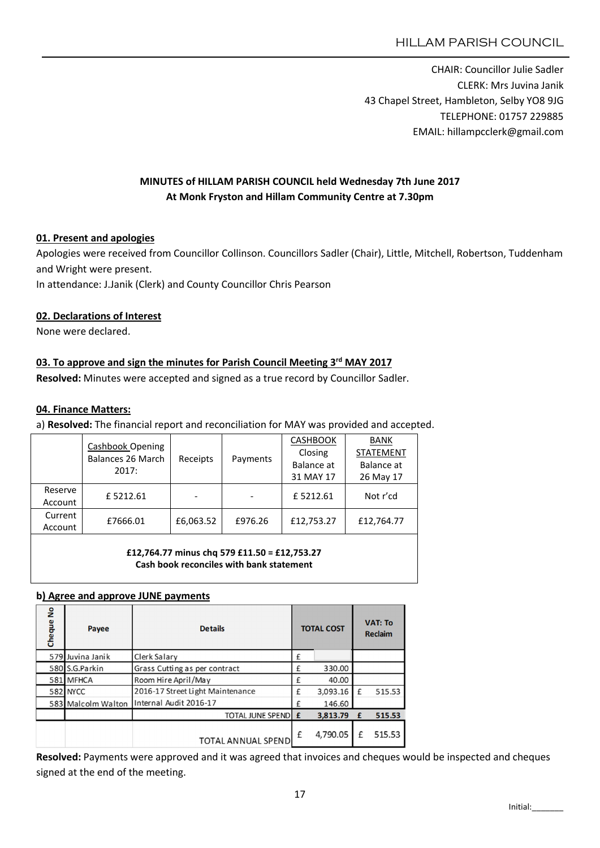CHAIR: Councillor Julie Sadler CLERK: Mrs Juvina Janik 43 Chapel Street, Hambleton, Selby YO8 9JG TELEPHONE: 01757 229885 EMAIL: hillampcclerk@gmail.com

# MINUTES of HILLAM PARISH COUNCIL held Wednesday 7th June 2017 At Monk Fryston and Hillam Community Centre at 7.30pm

### 01. Present and apologies

Apologies were received from Councillor Collinson. Councillors Sadler (Chair), Little, Mitchell, Robertson, Tuddenham and Wright were present.

In attendance: J.Janik (Clerk) and County Councillor Chris Pearson

### 02. Declarations of Interest

None were declared.

## 03. To approve and sign the minutes for Parish Council Meeting 3<sup>rd</sup> MAY 2017

Resolved: Minutes were accepted and signed as a true record by Councillor Sadler.

#### 04. Finance Matters:

a) Resolved: The financial report and reconciliation for MAY was provided and accepted.

|         | Cashbook Opening<br><b>Balances 26 March</b><br>2017: | Receipts  |          | <b>CASHBOOK</b> | <b>BANK</b>      |  |
|---------|-------------------------------------------------------|-----------|----------|-----------------|------------------|--|
|         |                                                       |           | Payments | Closing         | <b>STATEMENT</b> |  |
|         |                                                       |           |          | Balance at      | Balance at       |  |
|         |                                                       |           |          | 31 MAY 17       | 26 May 17        |  |
| Reserve | £5212.61                                              |           |          | £5212.61        | Not r'cd         |  |
| Account |                                                       |           |          |                 |                  |  |
| Current |                                                       |           | £976.26  |                 | £12,764.77       |  |
| Account | £7666.01                                              | £6,063.52 |          | £12,753.27      |                  |  |

£12,764.77 minus chq 579 £11.50 = £12,753.27 Cash book reconciles with bank statement

#### b) Agree and approve JUNE payments

| å<br>Cheque | Payee              | <b>Details</b>                   | <b>TOTAL COST</b> |          | <b>VAT: To</b><br><b>Reclaim</b> |        |
|-------------|--------------------|----------------------------------|-------------------|----------|----------------------------------|--------|
|             | 579 Juvina Janik   | Clerk Salary                     | £                 |          |                                  |        |
|             | 580 S.G.Parkin     | Grass Cutting as per contract    | £                 | 330.00   |                                  |        |
|             | 581 MFHCA          | Room Hire April/May              | £                 | 40.00    |                                  |        |
|             | 582 NYCC           | 2016-17 Street Light Maintenance | £                 | 3,093.16 | £                                | 515.53 |
|             | 583 Malcolm Walton | Internal Audit 2016-17           | £                 | 146.60   |                                  |        |
|             |                    | <b>TOTAL JUNE SPEND E</b>        |                   | 3,813.79 | £                                | 515.53 |
|             |                    | TOTAL ANNUAL SPEND               | £                 | 4,790.05 | f                                | 515.53 |

Resolved: Payments were approved and it was agreed that invoices and cheques would be inspected and cheques signed at the end of the meeting.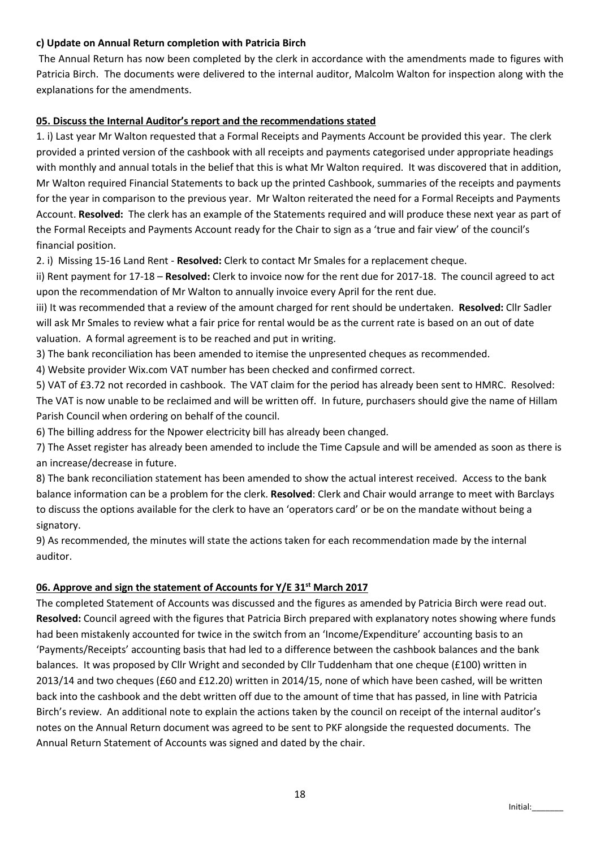#### c) Update on Annual Return completion with Patricia Birch

The Annual Return has now been completed by the clerk in accordance with the amendments made to figures with Patricia Birch. The documents were delivered to the internal auditor, Malcolm Walton for inspection along with the explanations for the amendments.

### 05. Discuss the Internal Auditor's report and the recommendations stated

1. i) Last year Mr Walton requested that a Formal Receipts and Payments Account be provided this year. The clerk provided a printed version of the cashbook with all receipts and payments categorised under appropriate headings with monthly and annual totals in the belief that this is what Mr Walton required. It was discovered that in addition, Mr Walton required Financial Statements to back up the printed Cashbook, summaries of the receipts and payments for the year in comparison to the previous year. Mr Walton reiterated the need for a Formal Receipts and Payments Account. Resolved: The clerk has an example of the Statements required and will produce these next year as part of the Formal Receipts and Payments Account ready for the Chair to sign as a 'true and fair view' of the council's financial position.

2. i) Missing 15-16 Land Rent - Resolved: Clerk to contact Mr Smales for a replacement cheque.

ii) Rent payment for 17-18 – Resolved: Clerk to invoice now for the rent due for 2017-18. The council agreed to act upon the recommendation of Mr Walton to annually invoice every April for the rent due.

iii) It was recommended that a review of the amount charged for rent should be undertaken. Resolved: Cllr Sadler will ask Mr Smales to review what a fair price for rental would be as the current rate is based on an out of date valuation. A formal agreement is to be reached and put in writing.

3) The bank reconciliation has been amended to itemise the unpresented cheques as recommended.

4) Website provider Wix.com VAT number has been checked and confirmed correct.

5) VAT of £3.72 not recorded in cashbook. The VAT claim for the period has already been sent to HMRC. Resolved: The VAT is now unable to be reclaimed and will be written off. In future, purchasers should give the name of Hillam Parish Council when ordering on behalf of the council.

6) The billing address for the Npower electricity bill has already been changed.

7) The Asset register has already been amended to include the Time Capsule and will be amended as soon as there is an increase/decrease in future.

8) The bank reconciliation statement has been amended to show the actual interest received. Access to the bank balance information can be a problem for the clerk. Resolved: Clerk and Chair would arrange to meet with Barclays to discuss the options available for the clerk to have an 'operators card' or be on the mandate without being a signatory.

9) As recommended, the minutes will state the actions taken for each recommendation made by the internal auditor.

## 06. Approve and sign the statement of Accounts for Y/E 31<sup>st</sup> March 2017

The completed Statement of Accounts was discussed and the figures as amended by Patricia Birch were read out. Resolved: Council agreed with the figures that Patricia Birch prepared with explanatory notes showing where funds had been mistakenly accounted for twice in the switch from an 'Income/Expenditure' accounting basis to an 'Payments/Receipts' accounting basis that had led to a difference between the cashbook balances and the bank balances. It was proposed by Cllr Wright and seconded by Cllr Tuddenham that one cheque (£100) written in 2013/14 and two cheques (£60 and £12.20) written in 2014/15, none of which have been cashed, will be written back into the cashbook and the debt written off due to the amount of time that has passed, in line with Patricia Birch's review. An additional note to explain the actions taken by the council on receipt of the internal auditor's notes on the Annual Return document was agreed to be sent to PKF alongside the requested documents. The Annual Return Statement of Accounts was signed and dated by the chair.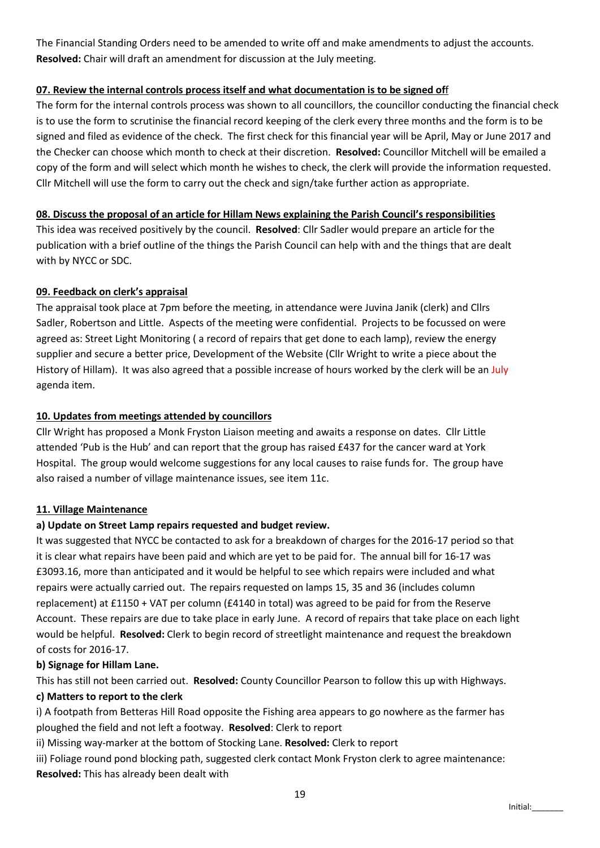The Financial Standing Orders need to be amended to write off and make amendments to adjust the accounts. Resolved: Chair will draft an amendment for discussion at the July meeting.

### 07. Review the internal controls process itself and what documentation is to be signed off

The form for the internal controls process was shown to all councillors, the councillor conducting the financial check is to use the form to scrutinise the financial record keeping of the clerk every three months and the form is to be signed and filed as evidence of the check. The first check for this financial year will be April, May or June 2017 and the Checker can choose which month to check at their discretion. Resolved: Councillor Mitchell will be emailed a copy of the form and will select which month he wishes to check, the clerk will provide the information requested. Cllr Mitchell will use the form to carry out the check and sign/take further action as appropriate.

### 08. Discuss the proposal of an article for Hillam News explaining the Parish Council's responsibilities

This idea was received positively by the council. Resolved: Cllr Sadler would prepare an article for the publication with a brief outline of the things the Parish Council can help with and the things that are dealt with by NYCC or SDC.

### 09. Feedback on clerk's appraisal

The appraisal took place at 7pm before the meeting, in attendance were Juvina Janik (clerk) and Cllrs Sadler, Robertson and Little. Aspects of the meeting were confidential. Projects to be focussed on were agreed as: Street Light Monitoring ( a record of repairs that get done to each lamp), review the energy supplier and secure a better price, Development of the Website (Cllr Wright to write a piece about the History of Hillam). It was also agreed that a possible increase of hours worked by the clerk will be an July agenda item.

### 10. Updates from meetings attended by councillors

Cllr Wright has proposed a Monk Fryston Liaison meeting and awaits a response on dates. Cllr Little attended 'Pub is the Hub' and can report that the group has raised £437 for the cancer ward at York Hospital. The group would welcome suggestions for any local causes to raise funds for. The group have also raised a number of village maintenance issues, see item 11c.

## 11. Village Maintenance

## a) Update on Street Lamp repairs requested and budget review.

It was suggested that NYCC be contacted to ask for a breakdown of charges for the 2016-17 period so that it is clear what repairs have been paid and which are yet to be paid for. The annual bill for 16-17 was £3093.16, more than anticipated and it would be helpful to see which repairs were included and what repairs were actually carried out. The repairs requested on lamps 15, 35 and 36 (includes column replacement) at £1150 + VAT per column (£4140 in total) was agreed to be paid for from the Reserve Account. These repairs are due to take place in early June. A record of repairs that take place on each light would be helpful. Resolved: Clerk to begin record of streetlight maintenance and request the breakdown of costs for 2016-17.

#### b) Signage for Hillam Lane.

This has still not been carried out. Resolved: County Councillor Pearson to follow this up with Highways.

#### c) Matters to report to the clerk

i) A footpath from Betteras Hill Road opposite the Fishing area appears to go nowhere as the farmer has ploughed the field and not left a footway. Resolved: Clerk to report

ii) Missing way-marker at the bottom of Stocking Lane. Resolved: Clerk to report

iii) Foliage round pond blocking path, suggested clerk contact Monk Fryston clerk to agree maintenance: Resolved: This has already been dealt with